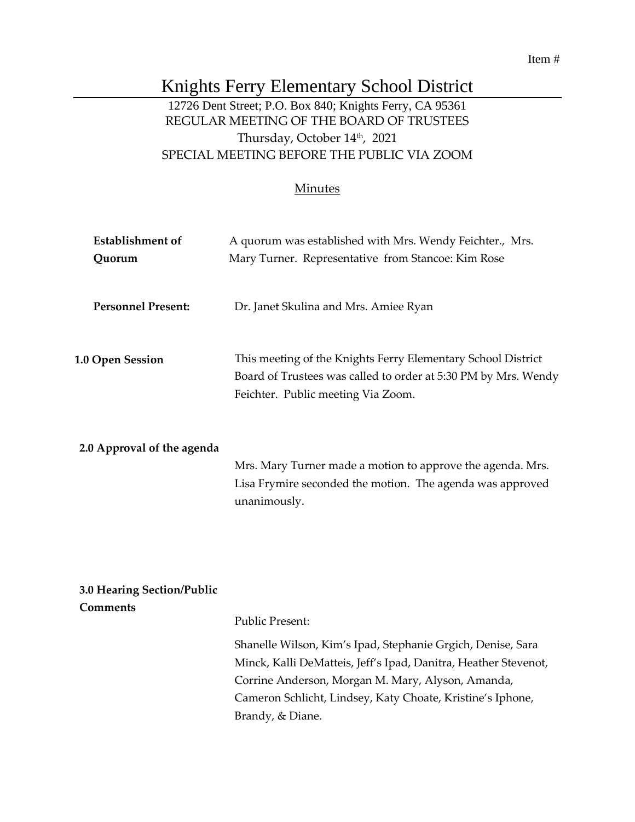#### Item #

# Knights Ferry Elementary School District

## 12726 Dent Street; P.O. Box 840; Knights Ferry, CA 95361 REGULAR MEETING OF THE BOARD OF TRUSTEES Thursday, October 14th , 2021 SPECIAL MEETING BEFORE THE PUBLIC VIA ZOOM

### Minutes

| <b>Establishment</b> of<br>Quorum | A quorum was established with Mrs. Wendy Feichter., Mrs.<br>Mary Turner. Representative from Stancoe: Kim Rose                                                       |
|-----------------------------------|----------------------------------------------------------------------------------------------------------------------------------------------------------------------|
| <b>Personnel Present:</b>         | Dr. Janet Skulina and Mrs. Amiee Ryan                                                                                                                                |
| <b>1.0 Open Session</b>           | This meeting of the Knights Ferry Elementary School District<br>Board of Trustees was called to order at 5:30 PM by Mrs. Wendy<br>Feichter. Public meeting Via Zoom. |
| 2.0 Approval of the agenda        | Mrs. Mary Turner made a motion to approve the agenda. Mrs.<br>Lisa Frymire seconded the motion. The agenda was approved<br>unanimously.                              |
| 3.0 Hearing Section/Public        |                                                                                                                                                                      |
| <b>Comments</b>                   | <b>Public Present:</b>                                                                                                                                               |

Shanelle Wilson, Kim's Ipad, Stephanie Grgich, Denise, Sara Minck, Kalli DeMatteis, Jeff's Ipad, Danitra, Heather Stevenot, Corrine Anderson, Morgan M. Mary, Alyson, Amanda, Cameron Schlicht, Lindsey, Katy Choate, Kristine's Iphone, Brandy, & Diane.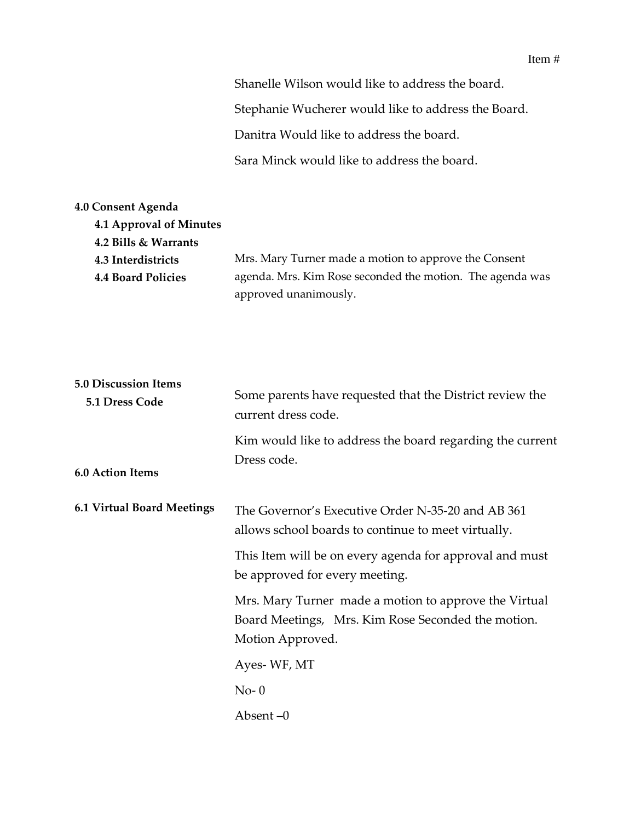Shanelle Wilson would like to address the board. Stephanie Wucherer would like to address the Board. Danitra Would like to address the board. Sara Minck would like to address the board.

| <b>4.0 Consent Agenda</b> |                                                           |
|---------------------------|-----------------------------------------------------------|
| 4.1 Approval of Minutes   |                                                           |
| 4.2 Bills & Warrants      |                                                           |
| 4.3 Interdistricts        | Mrs. Mary Turner made a motion to approve the Consent     |
| <b>4.4 Board Policies</b> | agenda. Mrs. Kim Rose seconded the motion. The agenda was |
|                           | approved unanimously.                                     |

| <b>5.0 Discussion Items</b><br>5.1 Dress Code | Some parents have requested that the District review the<br>current dress code.                                                 |
|-----------------------------------------------|---------------------------------------------------------------------------------------------------------------------------------|
| 6.0 Action Items                              | Kim would like to address the board regarding the current<br>Dress code.                                                        |
| <b>6.1 Virtual Board Meetings</b>             | The Governor's Executive Order N-35-20 and AB 361<br>allows school boards to continue to meet virtually.                        |
|                                               | This Item will be on every agenda for approval and must<br>be approved for every meeting.                                       |
|                                               | Mrs. Mary Turner made a motion to approve the Virtual<br>Board Meetings, Mrs. Kim Rose Seconded the motion.<br>Motion Approved. |
|                                               | Ayes-WF, MT                                                                                                                     |
|                                               | $No-0$                                                                                                                          |
|                                               | Absent $-0$                                                                                                                     |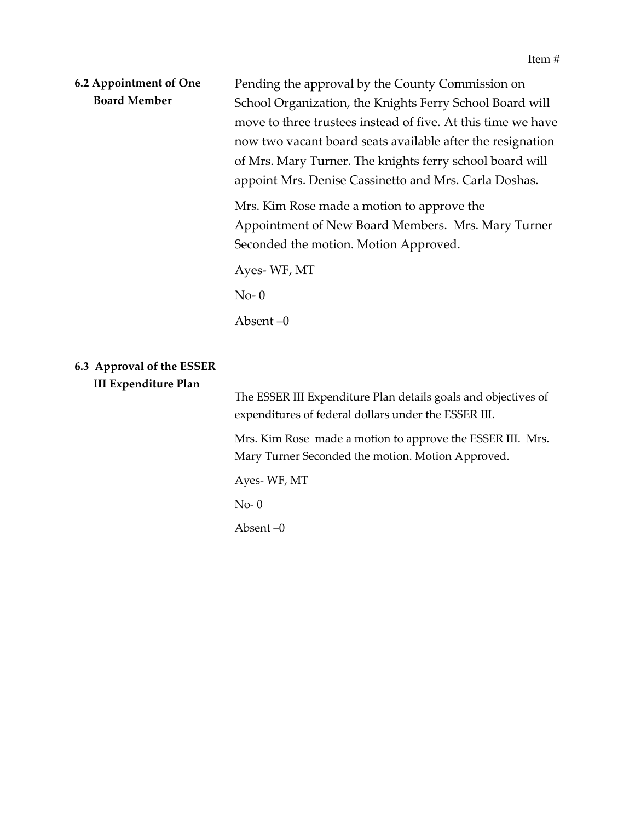| 6.2 Appointment of One<br><b>Board Member</b>            | Pending the approval by the County Commission on<br>School Organization, the Knights Ferry School Board will<br>move to three trustees instead of five. At this time we have<br>now two vacant board seats available after the resignation<br>of Mrs. Mary Turner. The knights ferry school board will<br>appoint Mrs. Denise Cassinetto and Mrs. Carla Doshas. |
|----------------------------------------------------------|-----------------------------------------------------------------------------------------------------------------------------------------------------------------------------------------------------------------------------------------------------------------------------------------------------------------------------------------------------------------|
|                                                          | Mrs. Kim Rose made a motion to approve the<br>Appointment of New Board Members. Mrs. Mary Turner<br>Seconded the motion. Motion Approved.                                                                                                                                                                                                                       |
|                                                          | Ayes-WF, MT                                                                                                                                                                                                                                                                                                                                                     |
|                                                          | $No-0$                                                                                                                                                                                                                                                                                                                                                          |
|                                                          | Absent $-0$                                                                                                                                                                                                                                                                                                                                                     |
| 6.3 Approval of the ESSER<br><b>III Expenditure Plan</b> |                                                                                                                                                                                                                                                                                                                                                                 |
|                                                          | The ESSER III Expenditure Plan details goals and objectives of<br>expenditures of federal dollars under the ESSER III.                                                                                                                                                                                                                                          |
|                                                          | Mrs. Kim Rose made a motion to approve the ESSER III. Mrs.<br>Mary Turner Seconded the motion. Motion Approved.                                                                                                                                                                                                                                                 |

Ayes- WF, MT

No- 0

Absent –0